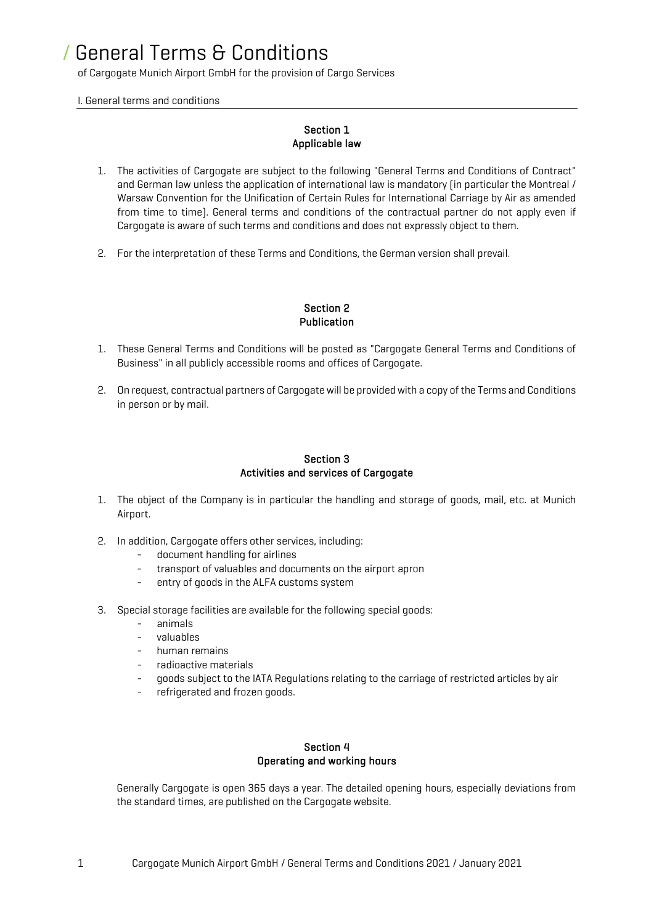of Cargogate Munich Airport GmbH for the provision of Cargo Services

I. General terms and conditions

## Section 1 Applicable law

- 1. The activities of Cargogate are subject to the following "General Terms and Conditions of Contract" and German law unless the application of international law is mandatory (in particular the Montreal / Warsaw Convention for the Unification of Certain Rules for International Carriage by Air as amended from time to time). General terms and conditions of the contractual partner do not apply even if Cargogate is aware of such terms and conditions and does not expressly object to them.
- 2. For the interpretation of these Terms and Conditions, the German version shall prevail.

### Section 2 Publication

- 1. These General Terms and Conditions will be posted as "Cargogate General Terms and Conditions of Business" in all publicly accessible rooms and offices of Cargogate.
- 2. On request, contractual partners of Cargogate will be provided with a copy of the Terms and Conditions in person or by mail.

### Section 3 Activities and services of Cargogate

- 1. The object of the Company is in particular the handling and storage of goods, mail, etc. at Munich Airport.
- 2. In addition, Cargogate offers other services, including:
	- document handling for airlines
	- transport of valuables and documents on the airport apron
	- entry of goods in the ALFA customs system
- 3. Special storage facilities are available for the following special goods:
	- animals
	- valuables
	- human remains
	- radioactive materials
	- goods subject to the IATA Regulations relating to the carriage of restricted articles by air
	- refrigerated and frozen goods.

#### Section 4 Operating and working hours

Generally Cargogate is open 365 days a year. The detailed opening hours, especially deviations from the standard times, are published on the Cargogate website.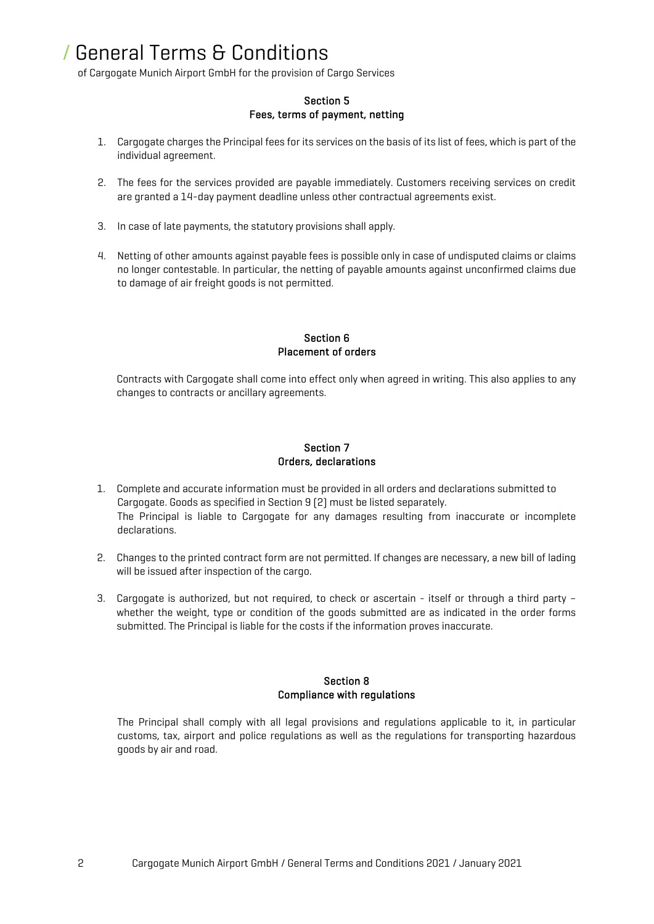of Cargogate Munich Airport GmbH for the provision of Cargo Services

### Section 5 Fees, terms of payment, netting

- 1. Cargogate charges the Principal fees for its services on the basis of its list of fees, which is part of the individual agreement.
- 2. The fees for the services provided are payable immediately. Customers receiving services on credit are granted a 14-day payment deadline unless other contractual agreements exist.
- 3. In case of late payments, the statutory provisions shall apply.
- 4. Netting of other amounts against payable fees is possible only in case of undisputed claims or claims no longer contestable. In particular, the netting of payable amounts against unconfirmed claims due to damage of air freight goods is not permitted.

### Section 6 Placement of orders

Contracts with Cargogate shall come into effect only when agreed in writing. This also applies to any changes to contracts or ancillary agreements.

## Section 7 Orders, declarations

- 1. Complete and accurate information must be provided in all orders and declarations submitted to Cargogate. Goods as specified in Section 9 (2) must be listed separately. The Principal is liable to Cargogate for any damages resulting from inaccurate or incomplete declarations.
- 2. Changes to the printed contract form are not permitted. If changes are necessary, a new bill of lading will be issued after inspection of the cargo.
- 3. Cargogate is authorized, but not required, to check or ascertain itself or through a third party whether the weight, type or condition of the goods submitted are as indicated in the order forms submitted. The Principal is liable for the costs if the information proves inaccurate.

### Section 8 Compliance with regulations

The Principal shall comply with all legal provisions and regulations applicable to it, in particular customs, tax, airport and police regulations as well as the regulations for transporting hazardous goods by air and road.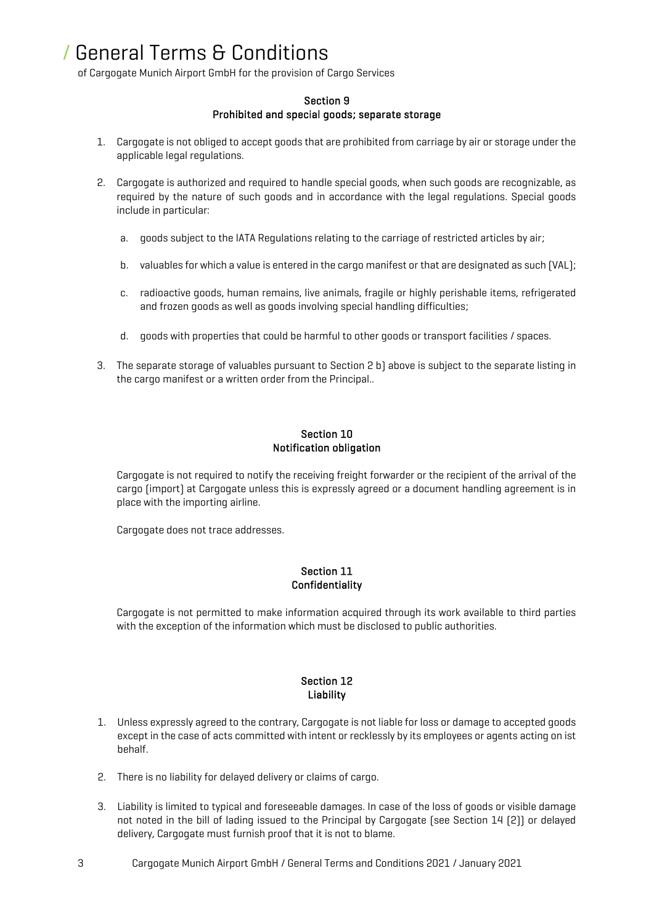of Cargogate Munich Airport GmbH for the provision of Cargo Services

### Section 9 Prohibited and special goods; separate storage

- 1. Cargogate is not obliged to accept goods that are prohibited from carriage by air or storage under the applicable legal regulations.
- 2. Cargogate is authorized and required to handle special goods, when such goods are recognizable, as required by the nature of such goods and in accordance with the legal regulations. Special goods include in particular:
	- a. goods subject to the IATA Regulations relating to the carriage of restricted articles by air;
	- b. valuables for which a value is entered in the cargo manifest or that are designated as such (VAL);
	- c. radioactive goods, human remains, live animals, fragile or highly perishable items, refrigerated and frozen goods as well as goods involving special handling difficulties;
	- d. goods with properties that could be harmful to other goods or transport facilities / spaces.
- 3. The separate storage of valuables pursuant to Section 2 b) above is subject to the separate listing in the cargo manifest or a written order from the Principal..

### Section 10 Notification obligation

Cargogate is not required to notify the receiving freight forwarder or the recipient of the arrival of the cargo (import) at Cargogate unless this is expressly agreed or a document handling agreement is in place with the importing airline.

Cargogate does not trace addresses.

### Section 11 **Confidentiality**

Cargogate is not permitted to make information acquired through its work available to third parties with the exception of the information which must be disclosed to public authorities.

## Section 12 Liability

- 1. Unless expressly agreed to the contrary, Cargogate is not liable for loss or damage to accepted goods except in the case of acts committed with intent or recklessly by its employees or agents acting on ist behalf.
- 2. There is no liability for delayed delivery or claims of cargo.
- 3. Liability is limited to typical and foreseeable damages. In case of the loss of goods or visible damage not noted in the bill of lading issued to the Principal by Cargogate (see Section 14 (2)) or delayed delivery, Cargogate must furnish proof that it is not to blame.
- 3 Cargogate Munich Airport GmbH / General Terms and Conditions 2021 / January 2021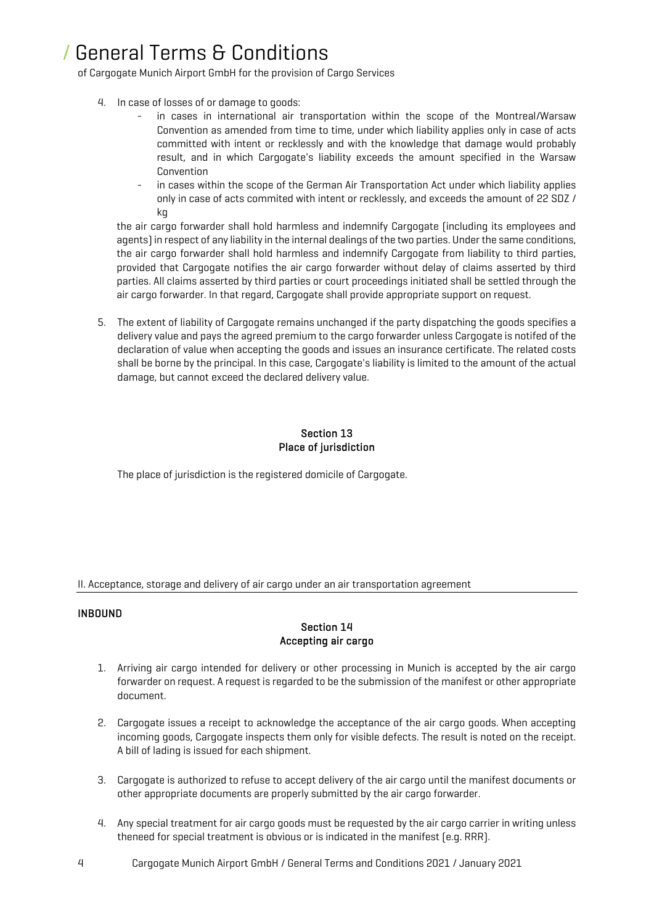of Cargogate Munich Airport GmbH for the provision of Cargo Services

- 4. In case of losses of or damage to goods:
	- in cases in international air transportation within the scope of the Montreal/Warsaw Convention as amended from time to time, under which liability applies only in case of acts committed with intent or recklessly and with the knowledge that damage would probably result, and in which Cargogate's liability exceeds the amount specified in the Warsaw Convention
	- in cases within the scope of the German Air Transportation Act under which liability applies only in case of acts commited with intent or recklessly, and exceeds the amount of 22 SDZ / kg

the air cargo forwarder shall hold harmless and indemnify Cargogate (including its employees and agents) in respect of any liability in the internal dealings of the two parties. Under the same conditions, the air cargo forwarder shall hold harmless and indemnify Cargogate from liability to third parties, provided that Cargogate notifies the air cargo forwarder without delay of claims asserted by third parties. All claims asserted by third parties or court proceedings initiated shall be settled through the air cargo forwarder. In that regard, Cargogate shall provide appropriate support on request.

5. The extent of liability of Cargogate remains unchanged if the party dispatching the goods specifies a delivery value and pays the agreed premium to the cargo forwarder unless Cargogate is notifed of the declaration of value when accepting the goods and issues an insurance certificate. The related costs shall be borne by the principal. In this case, Cargogate's liability is limited to the amount of the actual damage, but cannot exceed the declared delivery value.

## Section 13 Place of jurisdiction

The place of jurisdiction is the registered domicile of Cargogate.

II. Acceptance, storage and delivery of air cargo under an air transportation agreement

## INBOUND

## Section 14 Accepting air cargo

- 1. Arriving air cargo intended for delivery or other processing in Munich is accepted by the air cargo forwarder on request. A request is regarded to be the submission of the manifest or other appropriate document.
- 2. Cargogate issues a receipt to acknowledge the acceptance of the air cargo goods. When accepting incoming goods, Cargogate inspects them only for visible defects. The result is noted on the receipt. A bill of lading is issued for each shipment.
- 3. Cargogate is authorized to refuse to accept delivery of the air cargo until the manifest documents or other appropriate documents are properly submitted by the air cargo forwarder.
- 4. Any special treatment for air cargo goods must be requested by the air cargo carrier in writing unless theneed for special treatment is obvious or is indicated in the manifest (e.g. RRR).
- 4 Cargogate Munich Airport GmbH / General Terms and Conditions 2021 / January 2021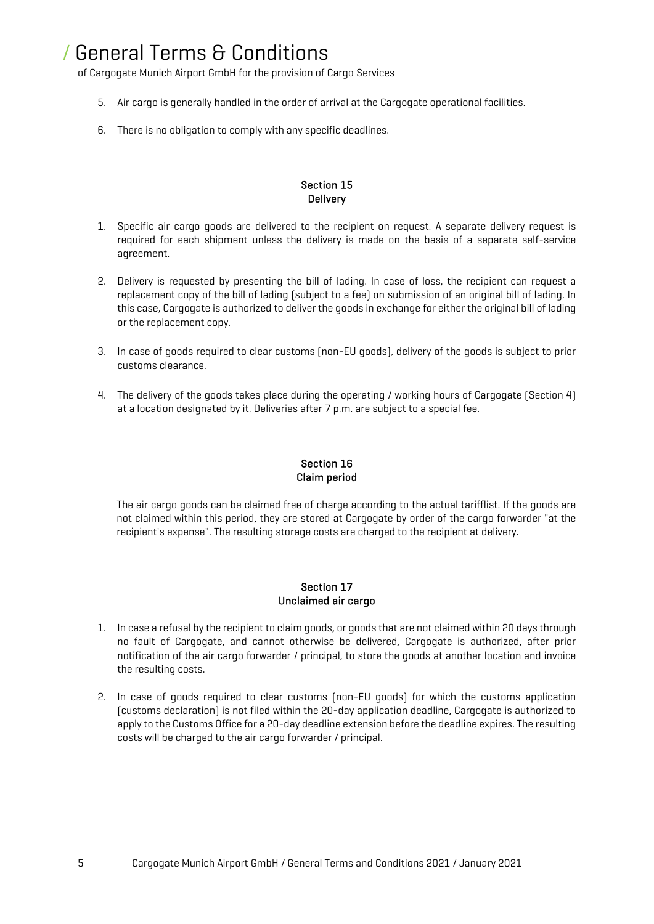of Cargogate Munich Airport GmbH for the provision of Cargo Services

- 5. Air cargo is generally handled in the order of arrival at the Cargogate operational facilities.
- 6. There is no obligation to comply with any specific deadlines.

## Section 15 **Delivery**

- 1. Specific air cargo goods are delivered to the recipient on request. A separate delivery request is required for each shipment unless the delivery is made on the basis of a separate self-service agreement.
- 2. Delivery is requested by presenting the bill of lading. In case of loss, the recipient can request a replacement copy of the bill of lading (subject to a fee) on submission of an original bill of lading. In this case, Cargogate is authorized to deliver the goods in exchange for either the original bill of lading or the replacement copy.
- 3. In case of goods required to clear customs (non-EU goods), delivery of the goods is subject to prior customs clearance.
- 4. The delivery of the goods takes place during the operating / working hours of Cargogate (Section 4) at a location designated by it. Deliveries after 7 p.m. are subject to a special fee.

## Section 16 Claim period

The air cargo goods can be claimed free of charge according to the actual tarifflist. If the goods are not claimed within this period, they are stored at Cargogate by order of the cargo forwarder "at the recipient's expense". The resulting storage costs are charged to the recipient at delivery.

### Section 17 Unclaimed air cargo

- 1. In case a refusal by the recipient to claim goods, or goods that are not claimed within 20 days through no fault of Cargogate, and cannot otherwise be delivered, Cargogate is authorized, after prior notification of the air cargo forwarder / principal, to store the goods at another location and invoice the resulting costs.
- 2. In case of goods required to clear customs (non-EU goods) for which the customs application (customs declaration) is not filed within the 20-day application deadline, Cargogate is authorized to apply to the Customs Office for a 20-day deadline extension before the deadline expires. The resulting costs will be charged to the air cargo forwarder / principal.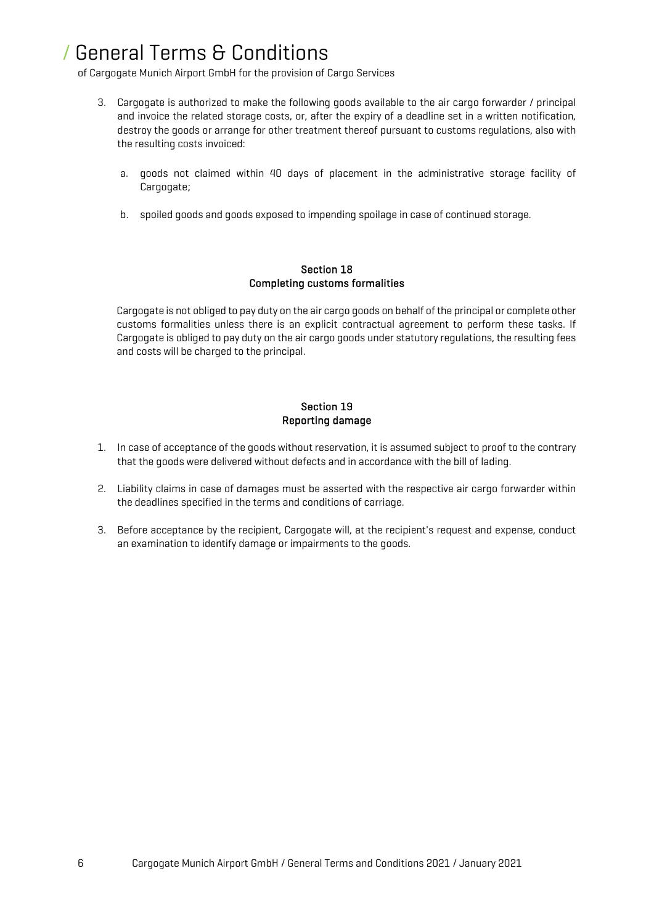of Cargogate Munich Airport GmbH for the provision of Cargo Services

- 3. Cargogate is authorized to make the following goods available to the air cargo forwarder / principal and invoice the related storage costs, or, after the expiry of a deadline set in a written notification, destroy the goods or arrange for other treatment thereof pursuant to customs regulations, also with the resulting costs invoiced:
	- a. goods not claimed within 40 days of placement in the administrative storage facility of Cargogate;
	- b. spoiled goods and goods exposed to impending spoilage in case of continued storage.

### Section 18 Completing customs formalities

Cargogate is not obliged to pay duty on the air cargo goods on behalf of the principal or complete other customs formalities unless there is an explicit contractual agreement to perform these tasks. If Cargogate is obliged to pay duty on the air cargo goods under statutory regulations, the resulting fees and costs will be charged to the principal.

# Section 19 Reporting damage

- 1. In case of acceptance of the goods without reservation, it is assumed subject to proof to the contrary that the goods were delivered without defects and in accordance with the bill of lading.
- 2. Liability claims in case of damages must be asserted with the respective air cargo forwarder within the deadlines specified in the terms and conditions of carriage.
- 3. Before acceptance by the recipient, Cargogate will, at the recipient's request and expense, conduct an examination to identify damage or impairments to the goods.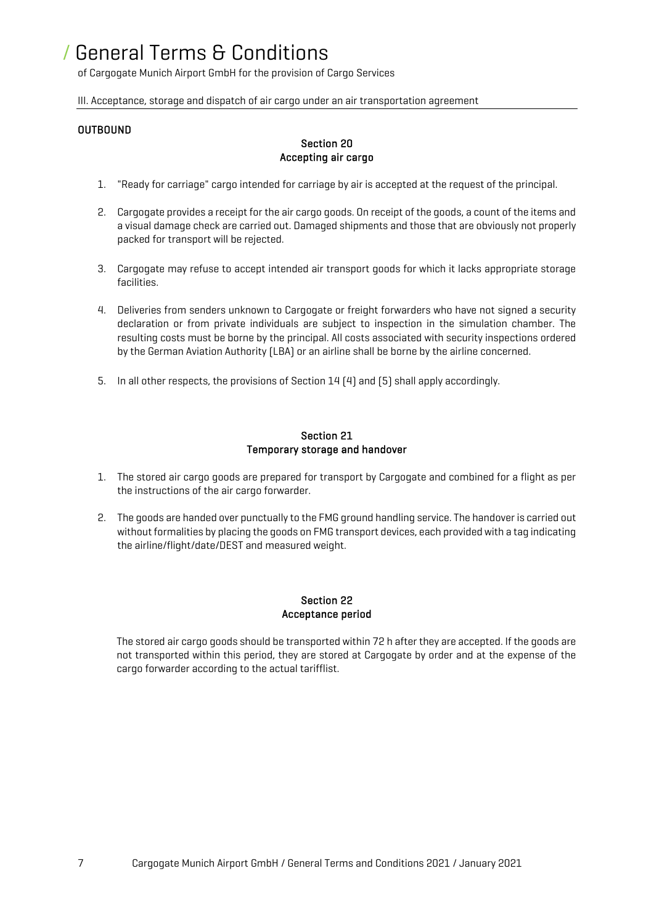of Cargogate Munich Airport GmbH for the provision of Cargo Services

III. Acceptance, storage and dispatch of air cargo under an air transportation agreement

### OUTBOUND

## Section 20 Accepting air cargo

- 1. "Ready for carriage" cargo intended for carriage by air is accepted at the request of the principal.
- 2. Cargogate provides a receipt for the air cargo goods. On receipt of the goods, a count of the items and a visual damage check are carried out. Damaged shipments and those that are obviously not properly packed for transport will be rejected.
- 3. Cargogate may refuse to accept intended air transport goods for which it lacks appropriate storage facilities.
- 4. Deliveries from senders unknown to Cargogate or freight forwarders who have not signed a security declaration or from private individuals are subject to inspection in the simulation chamber. The resulting costs must be borne by the principal. All costs associated with security inspections ordered by the German Aviation Authority (LBA) or an airline shall be borne by the airline concerned.
- 5. In all other respects, the provisions of Section 14 (4) and (5) shall apply accordingly.

#### Section 21 Temporary storage and handover

- 1. The stored air cargo goods are prepared for transport by Cargogate and combined for a flight as per the instructions of the air cargo forwarder.
- 2. The goods are handed over punctually to the FMG ground handling service. The handover is carried out without formalities by placing the goods on FMG transport devices, each provided with a tag indicating the airline/flight/date/DEST and measured weight.

## Section 22 Acceptance period

The stored air cargo goods should be transported within 72 h after they are accepted. If the goods are not transported within this period, they are stored at Cargogate by order and at the expense of the cargo forwarder according to the actual tarifflist.